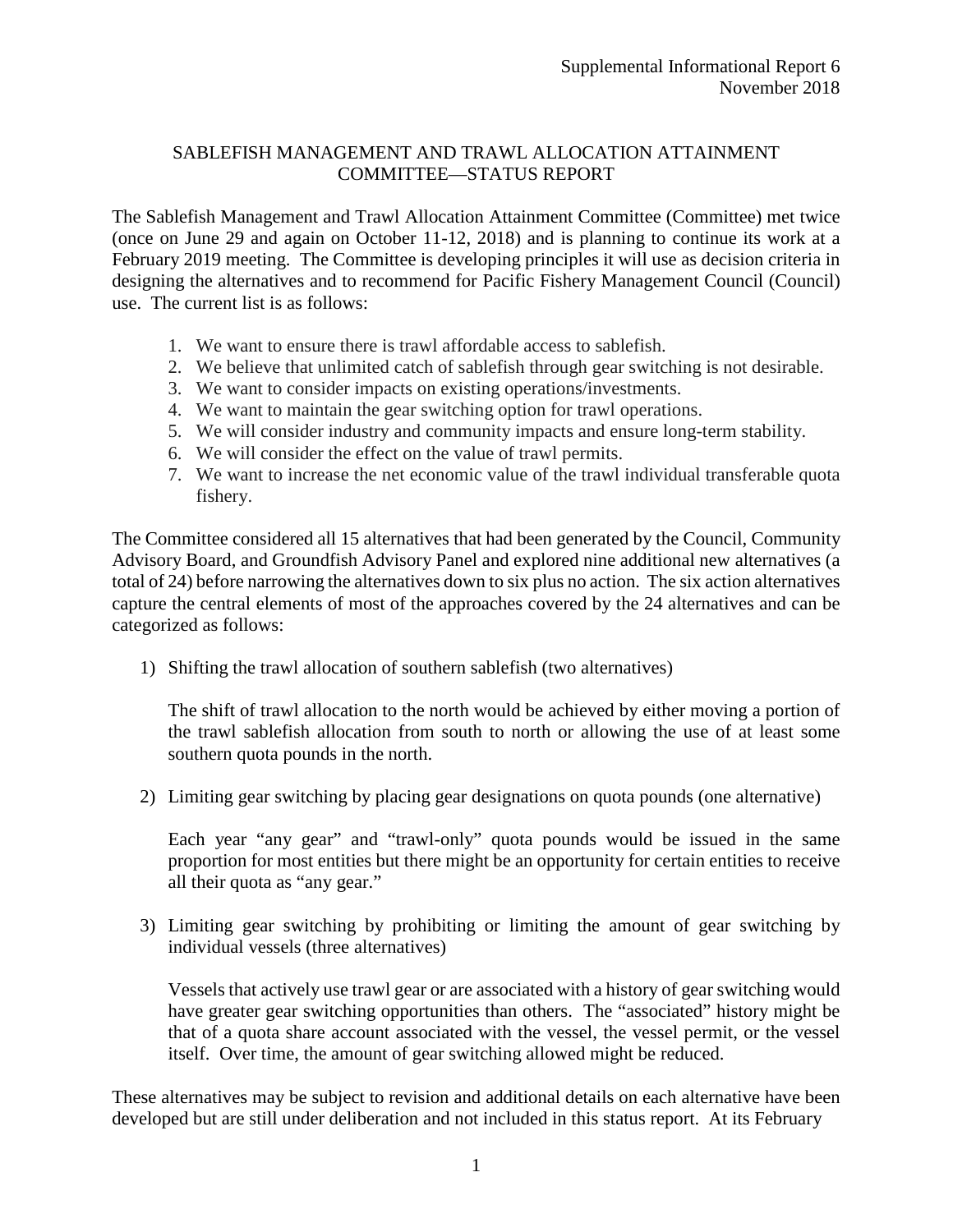## SABLEFISH MANAGEMENT AND TRAWL ALLOCATION ATTAINMENT COMMITTEE—STATUS REPORT

The Sablefish Management and Trawl Allocation Attainment Committee (Committee) met twice (once on June 29 and again on October 11-12, 2018) and is planning to continue its work at a February 2019 meeting. The Committee is developing principles it will use as decision criteria in designing the alternatives and to recommend for Pacific Fishery Management Council (Council) use. The current list is as follows:

- 1. We want to ensure there is trawl affordable access to sablefish.
- 2. We believe that unlimited catch of sablefish through gear switching is not desirable.
- 3. We want to consider impacts on existing operations/investments.
- 4. We want to maintain the gear switching option for trawl operations.
- 5. We will consider industry and community impacts and ensure long-term stability.
- 6. We will consider the effect on the value of trawl permits.
- 7. We want to increase the net economic value of the trawl individual transferable quota fishery.

The Committee considered all 15 alternatives that had been generated by the Council, Community Advisory Board, and Groundfish Advisory Panel and explored nine additional new alternatives (a total of 24) before narrowing the alternatives down to six plus no action. The six action alternatives capture the central elements of most of the approaches covered by the 24 alternatives and can be categorized as follows:

1) Shifting the trawl allocation of southern sablefish (two alternatives)

The shift of trawl allocation to the north would be achieved by either moving a portion of the trawl sablefish allocation from south to north or allowing the use of at least some southern quota pounds in the north.

2) Limiting gear switching by placing gear designations on quota pounds (one alternative)

Each year "any gear" and "trawl-only" quota pounds would be issued in the same proportion for most entities but there might be an opportunity for certain entities to receive all their quota as "any gear."

3) Limiting gear switching by prohibiting or limiting the amount of gear switching by individual vessels (three alternatives)

Vessels that actively use trawl gear or are associated with a history of gear switching would have greater gear switching opportunities than others. The "associated" history might be that of a quota share account associated with the vessel, the vessel permit, or the vessel itself. Over time, the amount of gear switching allowed might be reduced.

These alternatives may be subject to revision and additional details on each alternative have been developed but are still under deliberation and not included in this status report. At its February